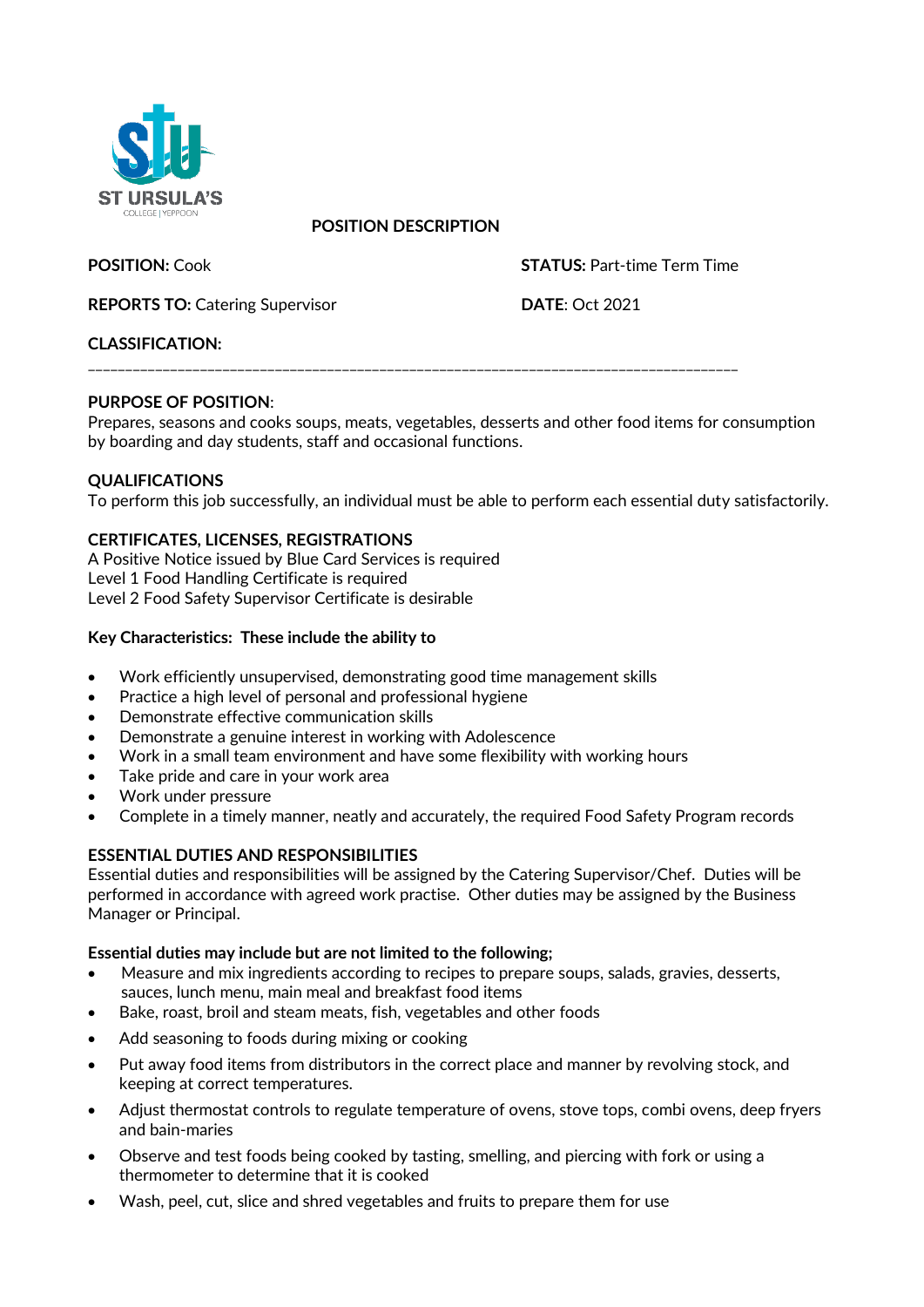

# **POSITION DESCRIPTION**

**POSITION:** Cook **STATUS:** Part-time Term Time

**REPORTS TO:** Catering Supervisor **DATE:** Oct 2021

# **CLASSIFICATION:**

\_\_\_\_\_\_\_\_\_\_\_\_\_\_\_\_\_\_\_\_\_\_\_\_\_\_\_\_\_\_\_\_\_\_\_\_\_\_\_\_\_\_\_\_\_\_\_\_\_\_\_\_\_\_\_\_\_\_\_\_\_\_\_\_\_\_\_\_\_\_\_\_\_\_\_\_\_\_\_\_\_\_\_\_\_\_\_

# **PURPOSE OF POSITION**:

Prepares, seasons and cooks soups, meats, vegetables, desserts and other food items for consumption by boarding and day students, staff and occasional functions.

# **QUALIFICATIONS**

To perform this job successfully, an individual must be able to perform each essential duty satisfactorily.

# **CERTIFICATES, LICENSES, REGISTRATIONS**

A Positive Notice issued by Blue Card Services is required Level 1 Food Handling Certificate is required Level 2 Food Safety Supervisor Certificate is desirable

# **Key Characteristics: These include the ability to**

- Work efficiently unsupervised, demonstrating good time management skills
- Practice a high level of personal and professional hygiene
- Demonstrate effective communication skills
- Demonstrate a genuine interest in working with Adolescence
- Work in a small team environment and have some flexibility with working hours
- Take pride and care in your work area
- Work under pressure
- Complete in a timely manner, neatly and accurately, the required Food Safety Program records

# **ESSENTIAL DUTIES AND RESPONSIBILITIES**

Essential duties and responsibilities will be assigned by the Catering Supervisor/Chef. Duties will be performed in accordance with agreed work practise. Other duties may be assigned by the Business Manager or Principal.

#### **Essential duties may include but are not limited to the following;**

- Measure and mix ingredients according to recipes to prepare soups, salads, gravies, desserts, sauces, lunch menu, main meal and breakfast food items
- Bake, roast, broil and steam meats, fish, vegetables and other foods
- Add seasoning to foods during mixing or cooking
- Put away food items from distributors in the correct place and manner by revolving stock, and keeping at correct temperatures.
- Adjust thermostat controls to regulate temperature of ovens, stove tops, combi ovens, deep fryers and bain-maries
- Observe and test foods being cooked by tasting, smelling, and piercing with fork or using a thermometer to determine that it is cooked
- Wash, peel, cut, slice and shred vegetables and fruits to prepare them for use